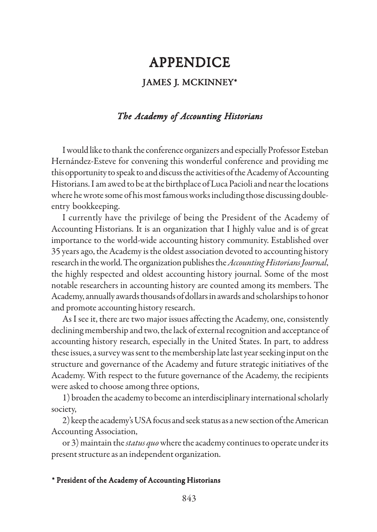## JAMES J. MCKINNEY\* **APPENDICE**

## *The Academy of Accounting Historians*

I would like to thank the conference organizers and especially Professor Esteban Hernández-Esteve for convening this wonderful conference and providing me this opportunity to speak to and discuss the activities of the Academy of Accounting Historians. I am awed to be at the birthplace of Luca Pacioli and near the locations where he wrote some of his most famous works including those discussing doubleentry bookkeeping.

I currently have the privilege of being the President of the Academy of Accounting Historians. It is an organization that I highly value and is of great importance to the world-wide accounting history community. Established over 35 years ago, the Academy is the oldest association devoted to accounting history research in the world. The organization publishes the *Accounting Historians Journal*, the highly respected and oldest accounting history journal. Some of the most notable researchers in accounting history are counted among its members. The Academy, annually awards thousands of dollars in awards and scholarships to honor and promote accounting history research.

As I see it, there are two major issues affecting the Academy, one, consistently declining membership and two, the lack of external recognition and acceptance of accounting history research, especially in the United States. In part, to address these issues, a survey was sent to the membership late last year seeking input on the structure and governance of the Academy and future strategic initiatives of the Academy. With respect to the future governance of the Academy, the recipients were asked to choose among three options,

1) broaden the academy to become an interdisciplinary international scholarly society,

2) keep the academy's USA focus and seek status as a new section of the American Accounting Association,

or 3) maintain the *status quo* where the academy continues to operate under its present structure as an independent organization.

## \* President of the Academy of Accounting Historians \* President of of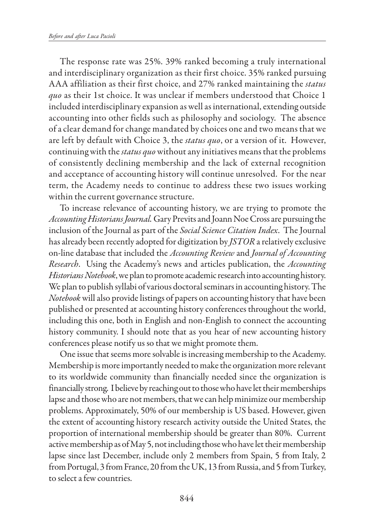The response rate was 25%. 39% ranked becoming a truly international and interdisciplinary organization as their first choice. 35% ranked pursuing AAA affiliation as their first choice, and 27% ranked maintaining the *status quo* as their 1st choice. It was unclear if members understood that Choice 1 included interdisciplinary expansion as well as international, extending outside accounting into other fields such as philosophy and sociology. The absence of a clear demand for change mandated by choices one and two means that we are left by default with Choice 3, the *status quo*, or a version of it. However, continuing with the *status quo* without any initiatives means that the problems of consistently declining membership and the lack of external recognition and acceptance of accounting history will continue unresolved. For the near term, the Academy needs to continue to address these two issues working within the current governance structure.

To increase relevance of accounting history, we are trying to promote the *Accounting Historians Journal.* Gary Previts and Joann Noe Cross are pursuing the inclusion of the Journal as part of the *Social Science Citation Index*. The Journal has already been recently adopted for digitization by *JSTOR* a relatively exclusive on-line database that included the *Accounting Review* and *Journal of Accounting Research*. Using the Academy's news and articles publication, the *Accounting Historians Notebook*, we plan to promote academic research into accounting history. We plan to publish syllabi of various doctoral seminars in accounting history. The *Notebook* will also provide listings of papers on accounting history that have been published or presented at accounting history conferences throughout the world, including this one, both in English and non-English to connect the accounting history community. I should note that as you hear of new accounting history conferences please notify us so that we might promote them.

One issue that seems more solvable is increasing membership to the Academy. Membership is more importantly needed to make the organization more relevant to its worldwide community than financially needed since the organization is financially strong. I believe by reaching out to those who have let their memberships lapse and those who are not members, that we can help minimize our membership problems. Approximately, 50% of our membership is US based. However, given the extent of accounting history research activity outside the United States, the proportion of international membership should be greater than 80%. Current active membership as of May 5, not including those who have let their membership lapse since last December, include only 2 members from Spain, 5 from Italy, 2 from Portugal, 3 from France, 20 from the UK, 13 from Russia, and 5 from Turkey, to select a few countries.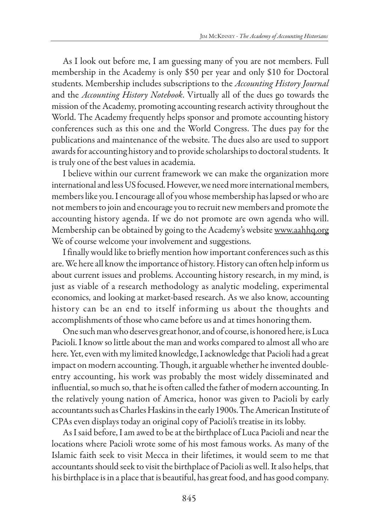As I look out before me, I am guessing many of you are not members. Full membership in the Academy is only \$50 per year and only \$10 for Doctoral students. Membership includes subscriptions to the *Accounting History Journal* and the *Accounting History Notebook*. Virtually all of the dues go towards the mission of the Academy, promoting accounting research activity throughout the World. The Academy frequently helps sponsor and promote accounting history conferences such as this one and the World Congress. The dues pay for the publications and maintenance of the website. The dues also are used to support awards for accounting history and to provide scholarships to doctoral students. It is truly one of the best values in academia.

I believe within our current framework we can make the organization more international and less US focused. However, we need more international members, members like you. I encourage all of you whose membership has lapsed or who are not members to join and encourage you to recruit new members and promote the accounting history agenda. If we do not promote are own agenda who will. Membership can be obtained by going to the Academy's website www.aahhq.org We of course welcome your involvement and suggestions.

I finally would like to briefly mention how important conferences such as this are. We here all know the importance of history. History can often help inform us about current issues and problems. Accounting history research, in my mind, is just as viable of a research methodology as analytic modeling, experimental economics, and looking at market-based research. As we also know, accounting history can be an end to itself informing us about the thoughts and accomplishments of those who came before us and at times honoring them.

One such man who deserves great honor, and of course, is honored here, is Luca Pacioli. I know so little about the man and works compared to almost all who are here. Yet, even with my limited knowledge, I acknowledge that Pacioli had a great impact on modern accounting. Though, it arguable whether he invented doubleentry accounting, his work was probably the most widely disseminated and influential, so much so, that he is often called the father of modern accounting. In the relatively young nation of America, honor was given to Pacioli by early accountants such as Charles Haskins in the early 1900s. The American Institute of CPAs even displays today an original copy of Pacioli's treatise in its lobby.

As I said before, I am awed to be at the birthplace of Luca Pacioli and near the locations where Pacioli wrote some of his most famous works. As many of the Islamic faith seek to visit Mecca in their lifetimes, it would seem to me that accountants should seek to visit the birthplace of Pacioli as well. It also helps, that his birthplace is in a place that is beautiful, has great food, and has good company.